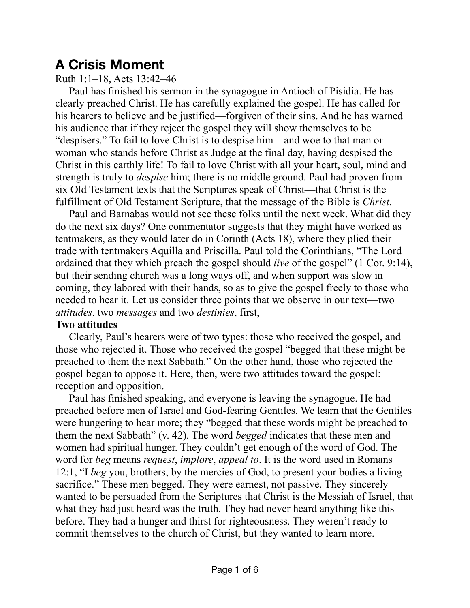# **A Crisis Moment**

## Ruth 1:1–18, Acts 13:42–46

Paul has finished his sermon in the synagogue in Antioch of Pisidia. He has clearly preached Christ. He has carefully explained the gospel. He has called for his hearers to believe and be justified—forgiven of their sins. And he has warned his audience that if they reject the gospel they will show themselves to be "despisers." To fail to love Christ is to despise him—and woe to that man or woman who stands before Christ as Judge at the final day, having despised the Christ in this earthly life! To fail to love Christ with all your heart, soul, mind and strength is truly to *despise* him; there is no middle ground. Paul had proven from six Old Testament texts that the Scriptures speak of Christ—that Christ is the fulfillment of Old Testament Scripture, that the message of the Bible is *Christ*.

Paul and Barnabas would not see these folks until the next week. What did they do the next six days? One commentator suggests that they might have worked as tentmakers, as they would later do in Corinth (Acts 18), where they plied their trade with tentmakers Aquilla and Priscilla. Paul told the Corinthians, "The Lord ordained that they which preach the gospel should *live* of the gospel" (1 Cor. 9:14), but their sending church was a long ways off, and when support was slow in coming, they labored with their hands, so as to give the gospel freely to those who needed to hear it. Let us consider three points that we observe in our text—two *attitudes*, two *messages* and two *destinies*, first,

#### **Two attitudes**

Clearly, Paul's hearers were of two types: those who received the gospel, and those who rejected it. Those who received the gospel "begged that these might be preached to them the next Sabbath." On the other hand, those who rejected the gospel began to oppose it. Here, then, were two attitudes toward the gospel: reception and opposition.

Paul has finished speaking, and everyone is leaving the synagogue. He had preached before men of Israel and God-fearing Gentiles. We learn that the Gentiles were hungering to hear more; they "begged that these words might be preached to them the next Sabbath" (v. 42). The word *begged* indicates that these men and women had spiritual hunger. They couldn't get enough of the word of God. The word for *beg* means *request*, *implore*, *appeal to*. It is the word used in Romans 12:1, "I *beg* you, brothers, by the mercies of God, to present your bodies a living sacrifice." These men begged. They were earnest, not passive. They sincerely wanted to be persuaded from the Scriptures that Christ is the Messiah of Israel, that what they had just heard was the truth. They had never heard anything like this before. They had a hunger and thirst for righteousness. They weren't ready to commit themselves to the church of Christ, but they wanted to learn more.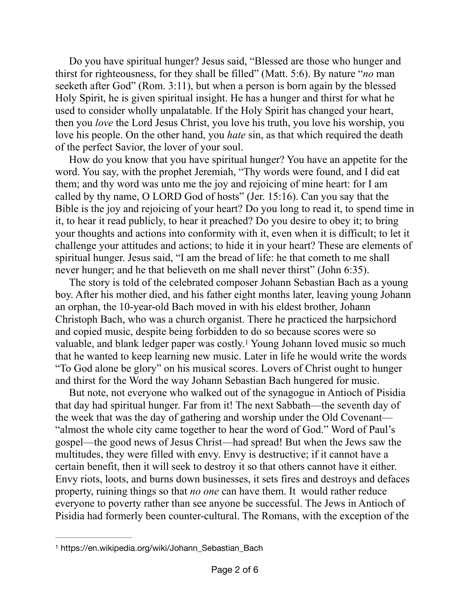Do you have spiritual hunger? Jesus said, "Blessed are those who hunger and thirst for righteousness, for they shall be filled" (Matt. 5:6). By nature "*no* man seeketh after God" (Rom. 3:11), but when a person is born again by the blessed Holy Spirit, he is given spiritual insight. He has a hunger and thirst for what he used to consider wholly unpalatable. If the Holy Spirit has changed your heart, then you *love* the Lord Jesus Christ, you love his truth, you love his worship, you love his people. On the other hand, you *hate* sin, as that which required the death of the perfect Savior, the lover of your soul.

How do you know that you have spiritual hunger? You have an appetite for the word. You say, with the prophet Jeremiah, "Thy words were found, and I did eat them; and thy word was unto me the joy and rejoicing of mine heart: for I am called by thy name, O LORD God of hosts" (Jer. 15:16). Can you say that the Bible is the joy and rejoicing of your heart? Do you long to read it, to spend time in it, to hear it read publicly, to hear it preached? Do you desire to obey it; to bring your thoughts and actions into conformity with it, even when it is difficult; to let it challenge your attitudes and actions; to hide it in your heart? These are elements of spiritual hunger. Jesus said, "I am the bread of life: he that cometh to me shall never hunger; and he that believeth on me shall never thirst" (John 6:35).

The story is told of the celebrated composer Johann Sebastian Bach as a young boy. After his mother died, and his father eight months later, leaving young Johann an orphan, the 10-year-old Bach moved in with his eldest brother, Johann Christoph Bach, who was a church organist. There he practiced the harpsichord and copied music, despite being forbidden to do so because scores were so valuable, and blank ledger paper was costly.<sup>[1](#page-1-0)</sup> Young Johann loved music so much that he wanted to keep learning new music. Later in life he would write the words "To God alone be glory" on his musical scores. Lovers of Christ ought to hunger and thirst for the Word the way Johann Sebastian Bach hungered for music.

<span id="page-1-1"></span>But note, not everyone who walked out of the synagogue in Antioch of Pisidia that day had spiritual hunger. Far from it! The next Sabbath—the seventh day of the week that was the day of gathering and worship under the Old Covenant— "almost the whole city came together to hear the word of God." Word of Paul's gospel—the good news of Jesus Christ—had spread! But when the Jews saw the multitudes, they were filled with envy. Envy is destructive; if it cannot have a certain benefit, then it will seek to destroy it so that others cannot have it either. Envy riots, loots, and burns down businesses, it sets fires and destroys and defaces property, ruining things so that *no one* can have them. It would rather reduce everyone to poverty rather than see anyone be successful. The Jews in Antioch of Pisidia had formerly been counter-cultural. The Romans, with the exception of the

<span id="page-1-0"></span>[<sup>1</sup>](#page-1-1) https://en.wikipedia.org/wiki/Johann\_Sebastian\_Bach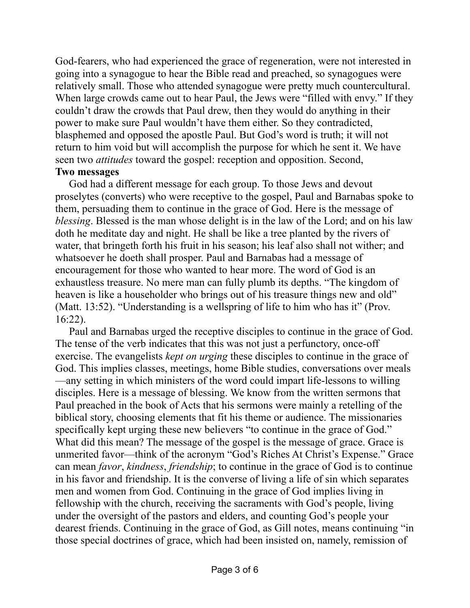God-fearers, who had experienced the grace of regeneration, were not interested in going into a synagogue to hear the Bible read and preached, so synagogues were relatively small. Those who attended synagogue were pretty much countercultural. When large crowds came out to hear Paul, the Jews were "filled with envy." If they couldn't draw the crowds that Paul drew, then they would do anything in their power to make sure Paul wouldn't have them either. So they contradicted, blasphemed and opposed the apostle Paul. But God's word is truth; it will not return to him void but will accomplish the purpose for which he sent it. We have seen two *attitudes* toward the gospel: reception and opposition. Second,

#### **Two messages**

God had a different message for each group. To those Jews and devout proselytes (converts) who were receptive to the gospel, Paul and Barnabas spoke to them, persuading them to continue in the grace of God. Here is the message of *blessing*. Blessed is the man whose delight is in the law of the Lord; and on his law doth he meditate day and night. He shall be like a tree planted by the rivers of water, that bringeth forth his fruit in his season; his leaf also shall not wither; and whatsoever he doeth shall prosper. Paul and Barnabas had a message of encouragement for those who wanted to hear more. The word of God is an exhaustless treasure. No mere man can fully plumb its depths. "The kingdom of heaven is like a householder who brings out of his treasure things new and old" (Matt. 13:52). "Understanding is a wellspring of life to him who has it" (Prov. 16:22).

Paul and Barnabas urged the receptive disciples to continue in the grace of God. The tense of the verb indicates that this was not just a perfunctory, once-off exercise. The evangelists *kept on urging* these disciples to continue in the grace of God. This implies classes, meetings, home Bible studies, conversations over meals —any setting in which ministers of the word could impart life-lessons to willing disciples. Here is a message of blessing. We know from the written sermons that Paul preached in the book of Acts that his sermons were mainly a retelling of the biblical story, choosing elements that fit his theme or audience. The missionaries specifically kept urging these new believers "to continue in the grace of God." What did this mean? The message of the gospel is the message of grace. Grace is unmerited favor—think of the acronym "God's Riches At Christ's Expense." Grace can mean *favor*, *kindness*, *friendship*; to continue in the grace of God is to continue in his favor and friendship. It is the converse of living a life of sin which separates men and women from God. Continuing in the grace of God implies living in fellowship with the church, receiving the sacraments with God's people, living under the oversight of the pastors and elders, and counting God's people your dearest friends. Continuing in the grace of God, as Gill notes, means continuing "in those special doctrines of grace, which had been insisted on, namely, remission of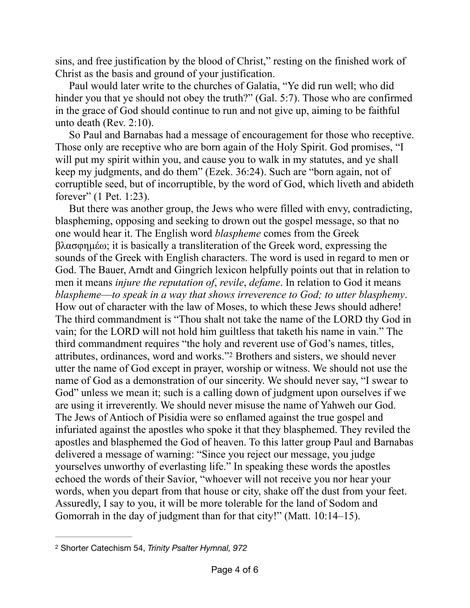sins, and free justification by the blood of Christ," resting on the finished work of Christ as the basis and ground of your justification.

Paul would later write to the churches of Galatia, "Ye did run well; who did hinder you that ye should not obey the truth?" (Gal. 5:7). Those who are confirmed in the grace of God should continue to run and not give up, aiming to be faithful unto death (Rev. 2:10).

So Paul and Barnabas had a message of encouragement for those who receptive. Those only are receptive who are born again of the Holy Spirit. God promises, "I will put my spirit within you, and cause you to walk in my statutes, and ye shall keep my judgments, and do them" (Ezek. 36:24). Such are "born again, not of corruptible seed, but of incorruptible, by the word of God, which liveth and abideth forever" (1 Pet. 1:23).

<span id="page-3-1"></span>But there was another group, the Jews who were filled with envy, contradicting, blaspheming, opposing and seeking to drown out the gospel message, so that no one would hear it. The English word *blaspheme* comes from the Greek βλασφηµέω; it is basically a transliteration of the Greek word, expressing the sounds of the Greek with English characters. The word is used in regard to men or God. The Bauer, Arndt and Gingrich lexicon helpfully points out that in relation to men it means *injure the reputation of*, *revile*, *defame*. In relation to God it means *blaspheme*—*to speak in a way that shows irreverence to God; to utter blasphemy*. How out of character with the law of Moses, to which these Jews should adhere! The third commandment is "Thou shalt not take the name of the LORD thy God in vain; for the LORD will not hold him guiltless that taketh his name in vain." The third commandment requires "the holy and reverent use of God's names, titles, attributes, ordinances, word and works."<sup>[2](#page-3-0)</sup> Brothers and sisters, we should never utter the name of God except in prayer, worship or witness. We should not use the name of God as a demonstration of our sincerity. We should never say, "I swear to God" unless we mean it; such is a calling down of judgment upon ourselves if we are using it irreverently. We should never misuse the name of Yahweh our God. The Jews of Antioch of Pisidia were so enflamed against the true gospel and infuriated against the apostles who spoke it that they blasphemed. They reviled the apostles and blasphemed the God of heaven. To this latter group Paul and Barnabas delivered a message of warning: "Since you reject our message, you judge yourselves unworthy of everlasting life." In speaking these words the apostles echoed the words of their Savior, "whoever will not receive you nor hear your words, when you depart from that house or city, shake off the dust from your feet. Assuredly, I say to you, it will be more tolerable for the land of Sodom and Gomorrah in the day of judgment than for that city!" (Matt. 10:14–15).

<span id="page-3-0"></span>[<sup>2</sup>](#page-3-1) Shorter Catechism 54, *Trinity Psalter Hymnal, 972*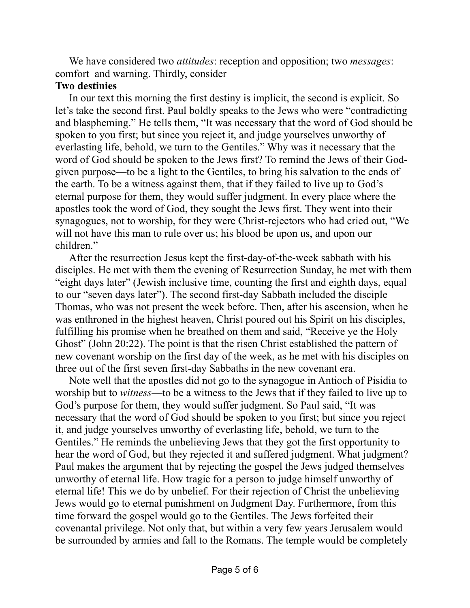We have considered two *attitudes*: reception and opposition; two *messages*: comfort and warning. Thirdly, consider

### **Two destinies**

In our text this morning the first destiny is implicit, the second is explicit. So let's take the second first. Paul boldly speaks to the Jews who were "contradicting and blaspheming." He tells them, "It was necessary that the word of God should be spoken to you first; but since you reject it, and judge yourselves unworthy of everlasting life, behold, we turn to the Gentiles." Why was it necessary that the word of God should be spoken to the Jews first? To remind the Jews of their Godgiven purpose—to be a light to the Gentiles, to bring his salvation to the ends of the earth. To be a witness against them, that if they failed to live up to God's eternal purpose for them, they would suffer judgment. In every place where the apostles took the word of God, they sought the Jews first. They went into their synagogues, not to worship, for they were Christ-rejectors who had cried out, "We will not have this man to rule over us; his blood be upon us, and upon our children."

After the resurrection Jesus kept the first-day-of-the-week sabbath with his disciples. He met with them the evening of Resurrection Sunday, he met with them "eight days later" (Jewish inclusive time, counting the first and eighth days, equal to our "seven days later"). The second first-day Sabbath included the disciple Thomas, who was not present the week before. Then, after his ascension, when he was enthroned in the highest heaven, Christ poured out his Spirit on his disciples, fulfilling his promise when he breathed on them and said, "Receive ye the Holy Ghost" (John 20:22). The point is that the risen Christ established the pattern of new covenant worship on the first day of the week, as he met with his disciples on three out of the first seven first-day Sabbaths in the new covenant era.

Note well that the apostles did not go to the synagogue in Antioch of Pisidia to worship but to *witness*—to be a witness to the Jews that if they failed to live up to God's purpose for them, they would suffer judgment. So Paul said, "It was necessary that the word of God should be spoken to you first; but since you reject it, and judge yourselves unworthy of everlasting life, behold, we turn to the Gentiles." He reminds the unbelieving Jews that they got the first opportunity to hear the word of God, but they rejected it and suffered judgment. What judgment? Paul makes the argument that by rejecting the gospel the Jews judged themselves unworthy of eternal life. How tragic for a person to judge himself unworthy of eternal life! This we do by unbelief. For their rejection of Christ the unbelieving Jews would go to eternal punishment on Judgment Day. Furthermore, from this time forward the gospel would go to the Gentiles. The Jews forfeited their covenantal privilege. Not only that, but within a very few years Jerusalem would be surrounded by armies and fall to the Romans. The temple would be completely